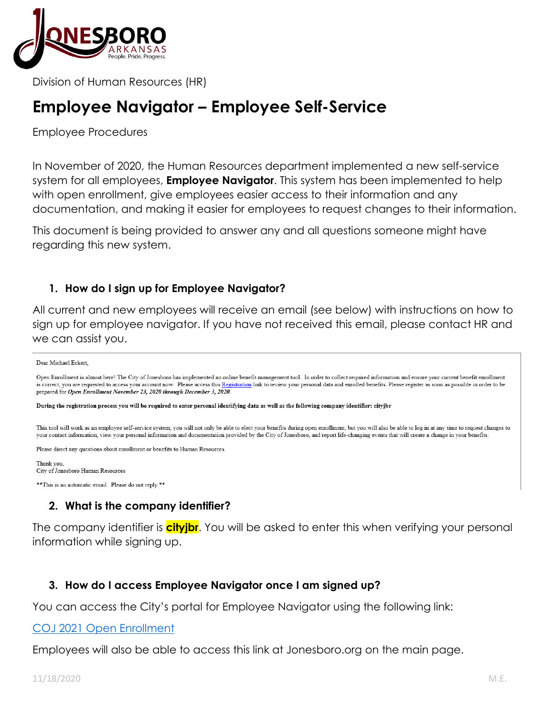

Division of Human Resources (HR)

# **Employee Navigator – Employee Self-Service**

Employee Procedures

In November of 2020, the Human Resources department implemented a new self-service system for all employees, **Employee Navigator**. This system has been implemented to help with open enrollment, give employees easier access to their information and any documentation, and making it easier for employees to request changes to their information.

This document is being provided to answer any and all questions someone might have regarding this new system.

### **1. How do I sign up for Employee Navigator?**

All current and new employees will receive an email (see below) with instructions on how to sign up for employee navigator. If you have not received this email, please contact HR and we can assist you.

#### Dear Michael Eckert,

Open Enrollment is almost here! The City of Jonesboro has implemented an online benefit management tool. In order to collect required information and ensure your current benefit enrollment is correct, you are requested to access your account now. Please access this Registration link to review your personal data and enrolled benefits. Please register as soon as possible in order to be prepared for Open Enrollment November 23, 2020 through December 3, 2020.

During the registration process you will be required to enter personal identifying data as well as the following company identifier: cityjbr

This tool will work as an employee self-service system; you will not only be able to elect your benefits during open enrollment, but you will also be able to log in at any time to request changes to your contact information, view your personal information and documentation provided by the City of Jonesboro, and report life-changing events that will create a change in your benefits.

Please direct any questions about enrollment or benefits to Human Resources.

Thank you. City of Jonesboro Human Resources

\*\* This is an automatic email. Please do not reply.\*\*

## **2. What is the company identifier?**

The company identifier is **cityjbr**. You will be asked to enter this when verifying your personal information while signing up.

### **3. How do I access Employee Navigator once I am signed up?**

You can access the City's portal for Employee Navigator using the following link:

#### [COJ 2021 Open Enrollment](https://www.employeenavigator.com/benefits/Account/Login)

Employees will also be able to access this link at Jonesboro.org on the main page.